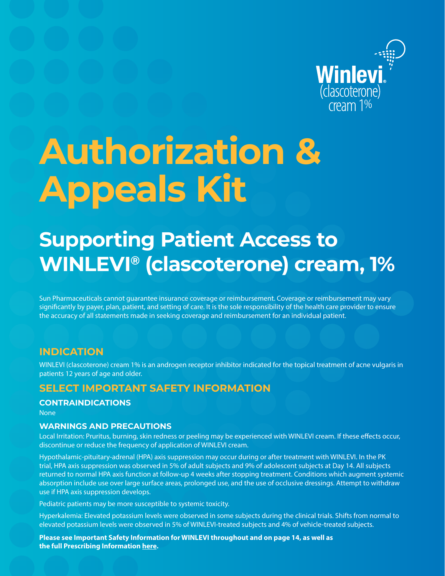

# **Authorization & Appeals Kit**

# **Supporting Patient Access to WINLEVI® (clascoterone) cream, 1%**

Sun Pharmaceuticals cannot guarantee insurance coverage or reimbursement. Coverage or reimbursement may vary significantly by payer, plan, patient, and setting of care. It is the sole responsibility of the health care provider to ensure the accuracy of all statements made in seeking coverage and reimbursement for an individual patient.

## **INDICATION**

WINLEVI (clascoterone) cream 1% is an androgen receptor inhibitor indicated for the topical treatment of acne vulgaris in patients 12 years of age and older.

## **SELECT IMPORTANT SAFETY INFORMATION**

#### **CONTRAINDICATIONS**

None

#### **WARNINGS AND PRECAUTIONS**

Local Irritation: Pruritus, burning, skin redness or peeling may be experienced with WINLEVI cream. If these effects occur, discontinue or reduce the frequency of application of WINLEVI cream.

Hypothalamic-pituitary-adrenal (HPA) axis suppression may occur during or after treatment with WINLEVI. In the PK trial, HPA axis suppression was observed in 5% of adult subjects and 9% of adolescent subjects at Day 14. All subjects returned to normal HPA axis function at follow-up 4 weeks after stopping treatment. Conditions which augment systemic absorption include use over large surface areas, prolonged use, and the use of occlusive dressings. Attempt to withdraw use if HPA axis suppression develops.

Pediatric patients may be more susceptible to systemic toxicity.

Hyperkalemia: Elevated potassium levels were observed in some subjects during the clinical trials. Shifts from normal to elevated potassium levels were observed in 5% of WINLEVI-treated subjects and 4% of vehicle-treated subjects.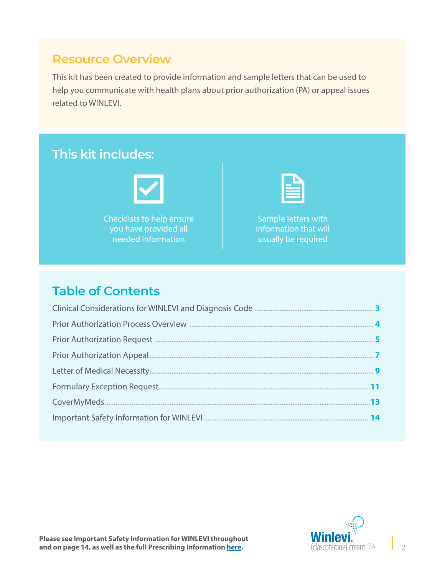# **Resource Overview**

This kit has been created to provide information and sample letters that can be used to help you communicate with health plans about prior authorization (PA) or appeal issues related to WINLEVI.



# **Table of Contents**

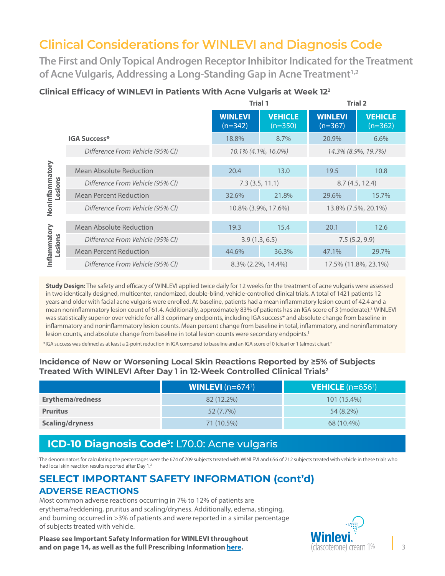# <span id="page-2-0"></span>**Clinical Considerations for WINLEVI and Diagnosis Code**

**The First and Only Topical Androgen Receptor Inhibitor Indicated for the Treatment**  of Acne Vulgaris, Addressing a Long-Standing Gap in Acne Treatment<sup>1,2</sup>

## **Clinical Efficacy of WINLEVI in Patients With Acne Vulgaris at Week 122**

|                            |                                  | <b>Trial 1</b>              |                             | <b>Trial 2</b>              |                             |
|----------------------------|----------------------------------|-----------------------------|-----------------------------|-----------------------------|-----------------------------|
|                            |                                  | <b>WINLEVI</b><br>$(n=342)$ | <b>VEHICLE</b><br>$(n=350)$ | <b>WINLEVI</b><br>$(n=367)$ | <b>VEHICLE</b><br>$(n=362)$ |
|                            | <b>IGA Success*</b>              | 18.8%                       | 8.7%                        | 20.9%                       | 6.6%                        |
|                            | Difference From Vehicle (95% CI) |                             | 10.1% (4.1%, 16.0%)         |                             | 14.3% (8.9%, 19.7%)         |
|                            |                                  |                             |                             |                             |                             |
| Noninflammatory<br>Lesions | <b>Mean Absolute Reduction</b>   | 20.4                        | 13.0                        | 19.5                        | 10.8                        |
|                            | Difference From Vehicle (95% CI) | $7.3$ (3.5, 11.1)           |                             | 8.7(4.5, 12.4)              |                             |
|                            | <b>Mean Percent Reduction</b>    | 32.6%                       | 21.8%                       | 29.6%                       | 15.7%                       |
|                            | Difference From Vehicle (95% CI) | 10.8% (3.9%, 17.6%)         |                             | 13.8% (7.5%, 20.1%)         |                             |
|                            |                                  |                             |                             |                             |                             |
|                            | Mean Absolute Reduction          | 19.3                        | 15.4                        | 20.1                        | 12.6                        |
|                            | Difference From Vehicle (95% CI) | 3.9(1.3, 6.5)               |                             | 7.5(5.2, 9.9)               |                             |
| Inflammatory<br>Lesions    | <b>Mean Percent Reduction</b>    | 44.6%                       | 36.3%                       | 47.1%                       | 29.7%                       |
|                            | Difference From Vehicle (95% CI) | $8.3\%$ (2.2%, 14.4%)       |                             | 17.5% (11.8%, 23.1%)        |                             |

**Study Design:** The safety and efficacy of WINLEVI applied twice daily for 12 weeks for the treatment of acne vulgaris were assessed in two identically designed, multicenter, randomized, double-blind, vehicle-controlled clinical trials. A total of 1421 patients 12 years and older with facial acne vulgaris were enrolled. At baseline, patients had a mean inflammatory lesion count of 42.4 and a mean noninflammatory lesion count of 61.4. Additionally, approximately 83% of patients has an IGA score of 3 (moderate).<sup>2</sup> WINLEVI was statistically superior over vehicle for all 3 coprimary endpoints, including IGA success\* and absolute change from baseline in inflammatory and noninflammatory lesion counts. Mean percent change from baseline in total, inflammatory, and noninflammatory lesion counts, and absolute change from baseline in total lesion counts were secondary endpoints.<sup>1</sup>

\*IGA success was defined as at least a 2-point reduction in IGA compared to baseline and an IGA score of 0 (clear) or 1 (almost clear).2

#### **Incidence of New or Worsening Local Skin Reactions Reported by ≥5% of Subjects Treated With WINLEVI After Day 1 in 12-Week Controlled Clinical Trials2**

|                         | <b>WINLEVI</b> ( $n=674^{\dagger}$ ) | <b>VEHICLE</b> $(n=656^+)$ |
|-------------------------|--------------------------------------|----------------------------|
| <b>Erythema/redness</b> | 82 (12.2%)                           | $101(15.4\%)$              |
| <b>Pruritus</b>         | $52(7.7\%)$                          | 54 (8.2%)                  |
| <b>Scaling/dryness</b>  | 71 (10.5%)                           | 68 (10.4%)                 |

## **ICD-10 Diagnosis Code3:** L70.0: Acne vulgaris

 †The denominators for calculating the percentages were the 674 of 709 subjects treated with WINLEVI and 656 of 712 subjects treated with vehicle in these trials who had local skin reaction results reported after Day 1.<sup>2</sup>

## **SELECT IMPORTANT SAFETY INFORMATION (cont'd) ADVERSE REACTIONS**

Most common adverse reactions occurring in 7% to 12% of patients are erythema/reddening, pruritus and scaling/dryness. Additionally, edema, stinging, and burning occurred in >3% of patients and were reported in a similar percentage of subjects treated with vehicle.

**Please see Important Safety Information for WINLEVI throughout and on page 14, as well as the full Prescribing Information [here](https://www.winlevi-hcp.com/pdf/winlevi-prescribing-information.pdf).**

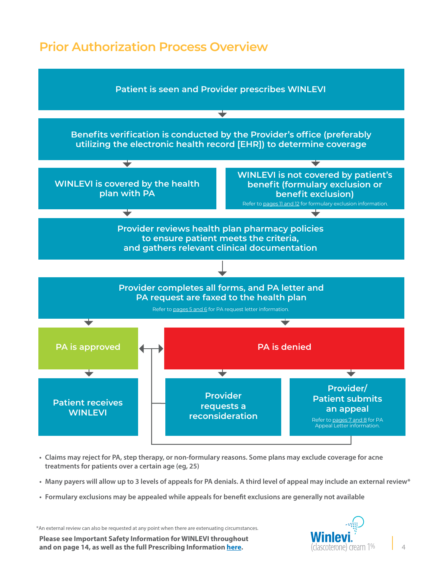# <span id="page-3-0"></span>**Prior Authorization Process Overview**



- **• Claims may reject for PA, step therapy, or non-formulary reasons. Some plans may exclude coverage for acne treatments for patients over a certain age (eg, 25)**
- **• Many payers will allow up to 3 levels of appeals for PA denials. A third level of appeal may include an external review\***
- **• Formulary exclusions may be appealed while appeals for benefit exclusions are generally not available**

\*An external review can also be requested at any point when there are extenuating circumstances.

**Please see Important Safety Information for WINLEVI throughout and on page 14, as well as the full Prescribing Information [here](https://www.winlevi-hcp.com/pdf/winlevi-prescribing-information.pdf).**

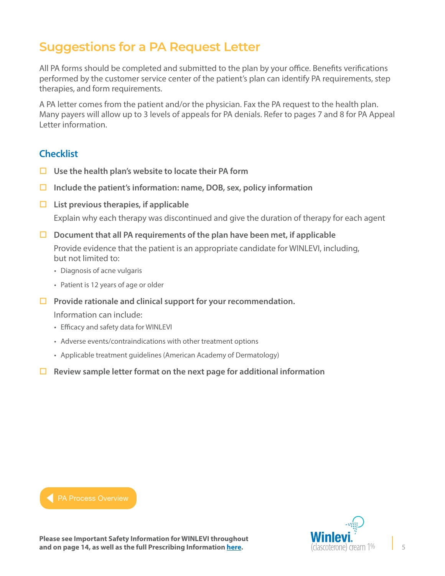# <span id="page-4-0"></span>**Suggestions for a PA Request Letter**

All PA forms should be completed and submitted to the plan by your office. Benefits verifications performed by the customer service center of the patient's plan can identify PA requirements, step therapies, and form requirements.

A PA letter comes from the patient and/or the physician. Fax the PA request to the health plan. Many payers will allow up to 3 levels of appeals for PA denials. Refer to pages 7 and 8 for PA Appeal Letter information.

## **Checklist**

- **Use the health plan's website to locate their PA form**
- **Include the patient's information: name, DOB, sex, policy information**
- **List previous therapies, if applicable**

Explain why each therapy was discontinued and give the duration of therapy for each agent

**Document that all PA requirements of the plan have been met, if applicable**

Provide evidence that the patient is an appropriate candidate for WINLEVI, including, but not limited to:

- Diagnosis of acne vulgaris
- Patient is 12 years of age or older
- **Provide rationale and clinical support for your recommendation.**

Information can include:

- Efficacy and safety data for WINLEVI
- Adverse events/contraindications with other treatment options

- Applicable treatment guidelines (American Academy of Dermatology)
- **Review sample letter format on the next page for additional information**



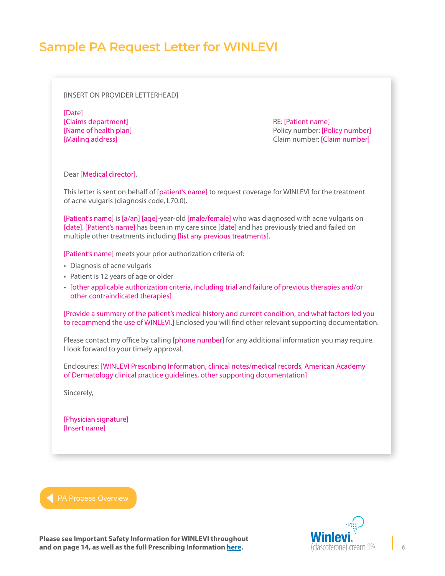## **Sample PA Request Letter for WINLEVI**

[INSERT ON PROVIDER LETTERHEAD]

[Date] [Claims department] RE: [Patient name]

[Name of health plan] Policy number: [Policy number] [Mailing address] Claim number: [Claim number]

Dear [Medical director],

This letter is sent on behalf of [patient's name] to request coverage for WINLEVI for the treatment of acne vulgaris (diagnosis code, L70.0).

[Patient's name] is [a/an] [age]-year-old [male/female] who was diagnosed with acne vulgaris on [date]. [Patient's name] has been in my care since [date] and has previously tried and failed on multiple other treatments including [list any previous treatments].

[Patient's name] meets your prior authorization criteria of:

- Diagnosis of acne vulgaris
- Patient is 12 years of age or older
- [other applicable authorization criteria, including trial and failure of previous therapies and/or other contraindicated therapies]

[Provide a summary of the patient's medical history and current condition, and what factors led you to recommend the use of WINLEVI.] Enclosed you will find other relevant supporting documentation.

Please contact my office by calling [phone number] for any additional information you may require. I look forward to your timely approval.

Enclosures: [WINLEVI Prescribing Information, clinical notes/medical records, American Academy of Dermatology clinical practice guidelines, other supporting documentation]

Sincerely,

[Physician signature] [Insert name]

**[PA Process Overview](#page-3-0)** 

(clascoterone) cream 1%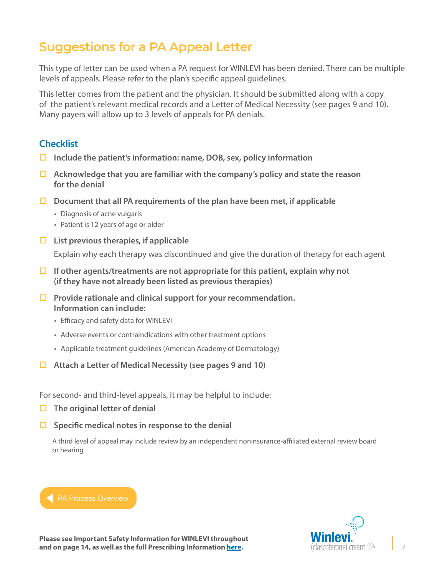# <span id="page-6-0"></span>**Suggestions for a PA Appeal Letter**

This type of letter can be used when a PA request for WINLEVI has been denied. There can be multiple levels of appeals. Please refer to the plan's specific appeal guidelines.

This letter comes from the patient and the physician. It should be submitted along with a copy of the patient's relevant medical records and a Letter of Medical Necessity (see pages 9 and 10). Many payers will allow up to 3 levels of appeals for PA denials.

## **Checklist**

- **Include the patient's information: name, DOB, sex, policy information**
- **Acknowledge that you are familiar with the company's policy and state the reason for the denial**
- **Document that all PA requirements of the plan have been met, if applicable**
	- Diagnosis of acne vulgaris
	- Patient is 12 years of age or older
- **List previous therapies, if applicable**

Explain why each therapy was discontinued and give the duration of therapy for each agent

- **If other agents/treatments are not appropriate for this patient, explain why not (if they have not already been listed as previous therapies)**
- **Provide rationale and clinical support for your recommendation. Information can include:**
	- Efficacy and safety data for WINLEVI
	- Adverse events or contraindications with other treatment options
	- Applicable treatment guidelines (American Academy of Dermatology)
- **Attach a Letter of Medical Necessity (see pages 9 and 10)**

For second- and third-level appeals, it may be helpful to include:

- **The original letter of denial**
- **Specific medical notes in response to the denial**

A third level of appeal may include review by an independent noninsurance-affiliated external review board or hearing

## **[PA Process Overview](#page-3-0)**

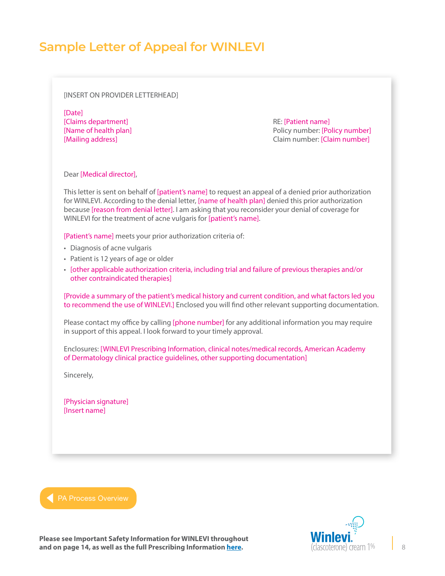# **Sample Letter of Appeal for WINLEVI**

[INSERT ON PROVIDER LETTERHEAD]

[Date] [Claims department] RE: [Patient name]

[Name of health plan] Policy number: [Policy number] [Mailing address] Claim number: [Claim number]

Dear [Medical director],

This letter is sent on behalf of [patient's name] to request an appeal of a denied prior authorization for WINLEVI. According to the denial letter, [name of health plan] denied this prior authorization because [reason from denial letter]. I am asking that you reconsider your denial of coverage for WINLEVI for the treatment of acne vulgaris for [patient's name].

[Patient's name] meets your prior authorization criteria of:

- Diagnosis of acne vulgaris
- Patient is 12 years of age or older
- [other applicable authorization criteria, including trial and failure of previous therapies and/or other contraindicated therapies]

[Provide a summary of the patient's medical history and current condition, and what factors led you to recommend the use of WINLEVI.] Enclosed you will find other relevant supporting documentation.

Please contact my office by calling [phone number] for any additional information you may require in support of this appeal. I look forward to your timely approval.

Enclosures: [WINLEVI Prescribing Information, clinical notes/medical records, American Academy of Dermatology clinical practice guidelines, other supporting documentation]

Sincerely,

[Physician signature] [Insert name]



(clascoterone) cream 1%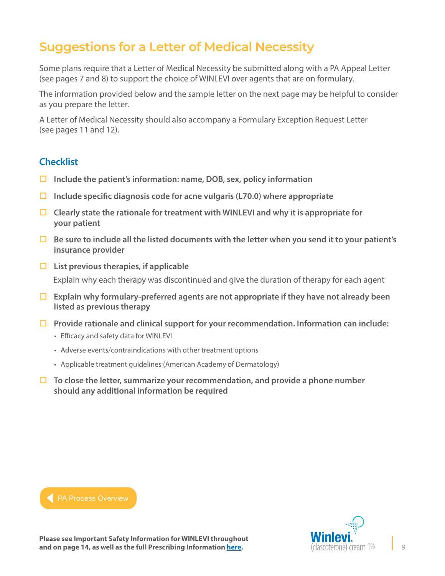# <span id="page-8-0"></span>**Suggestions for a Letter of Medical Necessity**

Some plans require that a Letter of Medical Necessity be submitted along with a PA Appeal Letter (see pages 7 and 8) to support the choice of WINLEVI over agents that are on formulary.

The information provided below and the sample letter on the next page may be helpful to consider as you prepare the letter.

A Letter of Medical Necessity should also accompany a Formulary Exception Request Letter (see pages 11 and 12).

## **Checklist**

- **Include the patient's information: name, DOB, sex, policy information**
- **Include specific diagnosis code for acne vulgaris (L70.0) where appropriate**
- **Clearly state the rationale for treatment with WINLEVI and why it is appropriate for your patient**
- **Be sure to include all the listed documents with the letter when you send it to your patient's insurance provider**
- **List previous therapies, if applicable** Explain why each therapy was discontinued and give the duration of therapy for each agent
- **Explain why formulary-preferred agents are not appropriate if they have not already been listed as previous therapy**
- **Provide rationale and clinical support for your recommendation. Information can include:**
	- Efficacy and safety data for WINLEVI
	- Adverse events/contraindications with other treatment options
	- Applicable treatment guidelines (American Academy of Dermatology)
- **To close the letter, summarize your recommendation, and provide a phone number should any additional information be required**



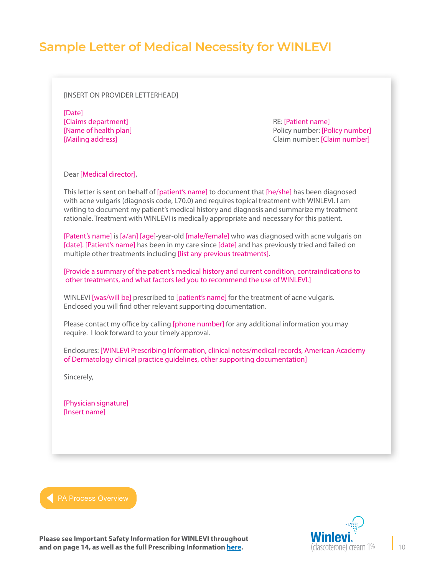## **Sample Letter of Medical Necessity for WINLEVI**

#### [INSERT ON PROVIDER LETTERHEAD]

[Date] [Claims department] **RE:** [Patient name]

[Name of health plan] Policy number: [Policy number] [Mailing address] Claim number: [Claim number]

#### Dear [Medical director],

This letter is sent on behalf of [patient's name] to document that [he/she] has been diagnosed with acne vulgaris (diagnosis code, L70.0) and requires topical treatment with WINLEVI. I am writing to document my patient's medical history and diagnosis and summarize my treatment rationale. Treatment with WINLEVI is medically appropriate and necessary for this patient.

[Patent's name] is [a/an] [age]-year-old [male/female] who was diagnosed with acne vulgaris on [date]. [Patient's name] has been in my care since [date] and has previously tried and failed on multiple other treatments including [list any previous treatments].

[Provide a summary of the patient's medical history and current condition, contraindications to other treatments, and what factors led you to recommend the use of WINLEVI.]

WINLEVI [was/will be] prescribed to [patient's name] for the treatment of acne vulgaris. Enclosed you will find other relevant supporting documentation.

Please contact my office by calling [phone number] for any additional information you may require. I look forward to your timely approval.

Enclosures: [WINLEVI Prescribing Information, clinical notes/medical records, American Academy of Dermatology clinical practice guidelines, other supporting documentation]

Sincerely,

[Physician signature] [Insert name]



**Please see Important Safety Information for WINLEVI throughout and on page 14, as well as the full Prescribing Information [here](https://www.winlevi-hcp.com/pdf/winlevi-prescribing-information.pdf).**

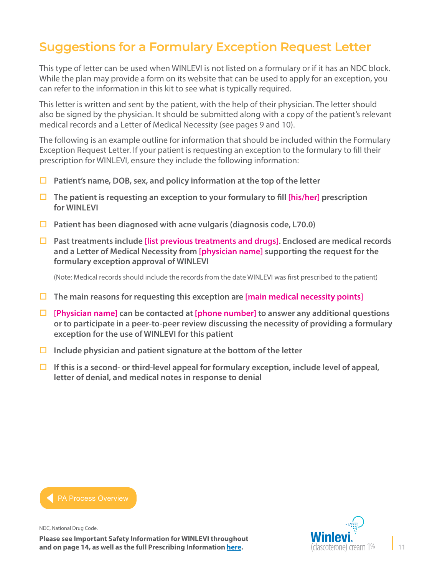# <span id="page-10-0"></span>**Suggestions for a Formulary Exception Request Letter**

This type of letter can be used when WINLEVI is not listed on a formulary or if it has an NDC block. While the plan may provide a form on its website that can be used to apply for an exception, you can refer to the information in this kit to see what is typically required.

This letter is written and sent by the patient, with the help of their physician. The letter should also be signed by the physician. It should be submitted along with a copy of the patient's relevant medical records and a Letter of Medical Necessity (see pages 9 and 10).

The following is an example outline for information that should be included within the Formulary Exception Request Letter. If your patient is requesting an exception to the formulary to fill their prescription for WINLEVI, ensure they include the following information:

- **Patient's name, DOB, sex, and policy information at the top of the letter**
- **The patient is requesting an exception to your formulary to fill [his/her] prescription for WINLEVI**
- **Patient has been diagnosed with acne vulgaris (diagnosis code, L70.0)**
- **Past treatments include [list previous treatments and drugs]. Enclosed are medical records and a Letter of Medical Necessity from [physician name] supporting the request for the formulary exception approval of WINLEVI**

(Note: Medical records should include the records from the date WINLEVI was first prescribed to the patient)

- **The main reasons for requesting this exception are [main medical necessity points]**
- **[Physician name] can be contacted at [phone number] to answer any additional questions or to participate in a peer-to-peer review discussing the necessity of providing a formulary exception for the use of WINLEVI for this patient**
- **Include physician and patient signature at the bottom of the letter**
- **If this is a second- or third-level appeal for formulary exception, include level of appeal, letter of denial, and medical notes in response to denial**



NDC, National Drug Code.

**Please see Important Safety Information for WINLEVI throughout and on page 14, as well as the full Prescribing Information [here](https://www.winlevi-hcp.com/pdf/winlevi-prescribing-information.pdf).**

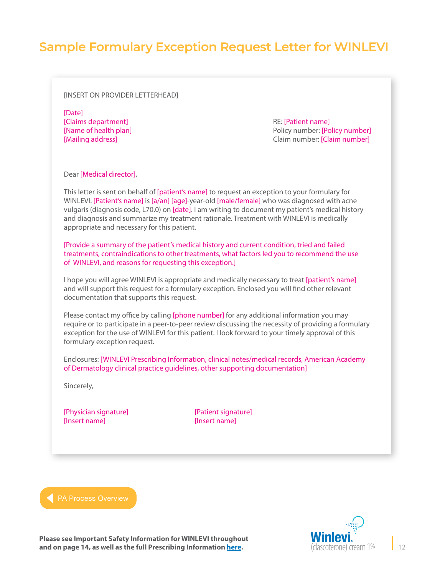## **Sample Formulary Exception Request Letter for WINLEVI**

#### [INSERT ON PROVIDER LETTERHEAD]

[Date] [Claims department] **RE:** [Patient name]

[Name of health plan] Policy number: [Policy number] [Mailing address] Claim number: [Claim number]

Dear [Medical director],

This letter is sent on behalf of [patient's name] to request an exception to your formulary for WINLEVI. [Patient's name] is [a/an] [age]-year-old [male/female] who was diagnosed with acne vulgaris (diagnosis code, L70.0) on [date]. I am writing to document my patient's medical history and diagnosis and summarize my treatment rationale. Treatment with WINLEVI is medically appropriate and necessary for this patient.

[Provide a summary of the patient's medical history and current condition, tried and failed treatments, contraindications to other treatments, what factors led you to recommend the use of WINLEVI, and reasons for requesting this exception.]

I hope you will agree WINLEVI is appropriate and medically necessary to treat [patient's name] and will support this request for a formulary exception. Enclosed you will find other relevant documentation that supports this request.

Please contact my office by calling [phone number] for any additional information you may require or to participate in a peer-to-peer review discussing the necessity of providing a formulary exception for the use of WINLEVI for this patient. I look forward to your timely approval of this formulary exception request.

Enclosures: [WINLEVI Prescribing Information, clinical notes/medical records, American Academy of Dermatology clinical practice guidelines, other supporting documentation]

Sincerely,

[Physician signature] [Patient signature] [Insert name] [Insert name]



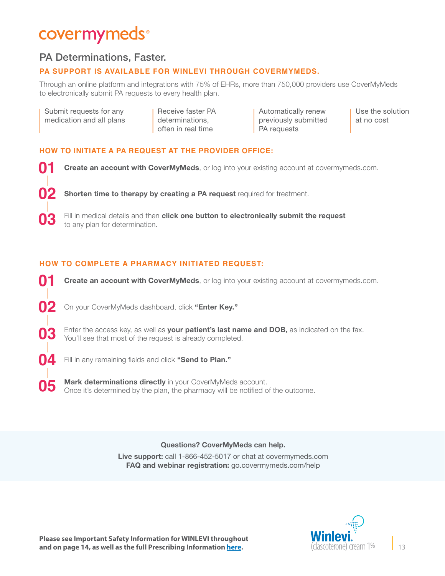# covermymeds®

## PA Determinations, Faster.

### **PA SUPPORT IS AVAILABLE FOR WINLEVI THROUGH COVERMYMEDS.**

Through an online platform and integrations with 75% of EHRs, more than 750,000 providers use CoverMyMeds to electronically submit PA requests to every health plan.

| Submit requests for any  |
|--------------------------|
| medication and all plans |

**02**

**05**

Receive faster PA determinations, often in real time

Automatically renew previously submitted PA requests

Use the solution at no cost

#### **HOW TO INITIATE A PA REQUEST AT THE PROVIDER OFFICE:**

**Create an account with CoverMyMeds**, or log into your existing account at covermymeds.com. **01**

Shorten time to therapy by creating a PA request required for treatment.

Fill in medical details and then **click one button to electronically submit the request** to any plan for determination.

#### **HOW TO COMPLETE A PHARMACY INITIATED REQUEST:**

**Create an account with CoverMyMeds**, or log into your existing account at covermymeds.com. On your CoverMyMeds dashboard, click "Enter Key." Enter the access key, as well as **your patient's last name and DOB,** as indicated on the fax. You'll see that most of the request is already completed. **01 02 03**

Fill in any remaining fields and click "Send to Plan." **04**

> Mark determinations directly in your CoverMyMeds account. Once it's determined by the plan, the pharmacy will be notified of the outcome.

#### Questions? CoverMyMeds can help.

Live support: call 1-866-452-5017 or chat at [covermymeds.com](https://www.covermymeds.com/main/)  FAQ and webinar registration: [go.covermymeds.com/help](https://www.covermymeds.com/main/support/)